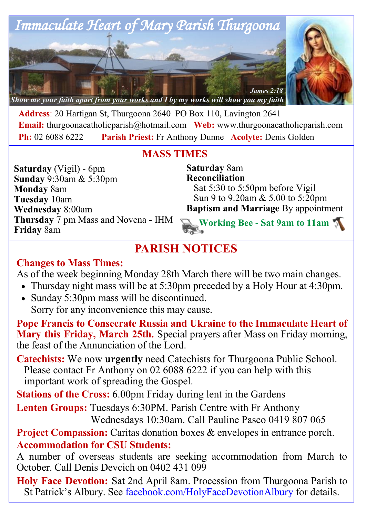

**Address**: 20 Hartigan St, Thurgoona 2640 PO Box 110, Lavington 2641 **Email:** thurgoonacatholicparish@hotmail.com **Web:** www.thurgoonacatholicparish.com **Ph:** 02 6088 6222 **Parish Priest:** Fr Anthony Dunne **Acolyte:** Denis Golden

# **MASS TIMES**

**Saturday** (Vigil) - 6pm **Sunday** 9:30am & 5:30pm **Monday** 8am **Tuesday** 10am **Wednesday** 8:00am **Thursday** 7 pm Mass and Novena - IHM **Friday** 8am

**Saturday** 8am **Reconciliation**  Sat 5:30 to 5:50pm before Vigil Sun 9 to 9.20am & 5.00 to 5:20pm **Baptism and Marriage** By appointment **Working Bee - Sat 9am to 11am**

**PARISH NOTICES**

## **Changes to Mass Times:**

As of the week beginning Monday 28th March there will be two main changes.

- Thursday night mass will be at 5:30pm preceded by a Holy Hour at 4:30pm.
- Sunday 5:30pm mass will be discontinued. Sorry for any inconvenience this may cause.

**Pope Francis to Consecrate Russia and Ukraine to the Immaculate Heart of Mary this Friday, March 25th.** Special prayers after Mass on Friday morning, the feast of the Annunciation of the Lord.

**Catechists:** We now **urgently** need Catechists for Thurgoona Public School. Please contact Fr Anthony on 02 6088 6222 if you can help with this important work of spreading the Gospel.

**Stations of the Cross:** 6.00pm Friday during lent in the Gardens

**Lenten Groups:** Tuesdays 6:30PM. Parish Centre with Fr Anthony Wednesdays 10:30am. Call Pauline Pasco 0419 807 065

**Project Compassion:** Caritas donation boxes & envelopes in entrance porch. **Accommodation for CSU Students:** 

A number of overseas students are seeking accommodation from March to October. Call Denis Devcich on 0402 431 099

**Holy Face Devotion:** Sat 2nd April 8am. Procession from Thurgoona Parish to St Patrick's Albury. See facebook.com/HolyFaceDevotionAlbury for details.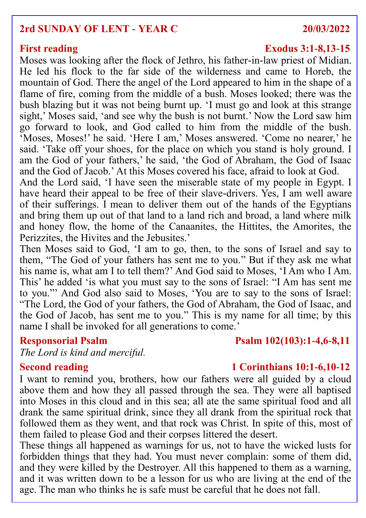### **2rd SUNDAY OF LENT - YEAR C 20/03/2022**

Moses was looking after the flock of Jethro, his father-in-law priest of Midian. He led his flock to the far side of the wilderness and came to Horeb, the mountain of God. There the angel of the Lord appeared to him in the shape of a flame of fire, coming from the middle of a bush. Moses looked; there was the bush blazing but it was not being burnt up. 'I must go and look at this strange sight,' Moses said, 'and see why the bush is not burnt.' Now the Lord saw him go forward to look, and God called to him from the middle of the bush. 'Moses, Moses!' he said. 'Here I am,' Moses answered. 'Come no nearer,' he said. 'Take off your shoes, for the place on which you stand is holy ground. I am the God of your fathers,' he said, 'the God of Abraham, the God of Isaac and the God of Jacob.' At this Moses covered his face, afraid to look at God.

And the Lord said, 'I have seen the miserable state of my people in Egypt. I have heard their appeal to be free of their slave-drivers. Yes, I am well aware of their sufferings. I mean to deliver them out of the hands of the Egyptians and bring them up out of that land to a land rich and broad, a land where milk and honey flow, the home of the Canaanites, the Hittites, the Amorites, the Perizzites, the Hivites and the Jebusites.'

Then Moses said to God, 'I am to go, then, to the sons of Israel and say to them, "The God of your fathers has sent me to you." But if they ask me what his name is, what am I to tell them?' And God said to Moses, 'I Am who I Am. This' he added 'is what you must say to the sons of Israel: "I Am has sent me to you."' And God also said to Moses, 'You are to say to the sons of Israel: "The Lord, the God of your fathers, the God of Abraham, the God of Isaac, and the God of Jacob, has sent me to you." This is my name for all time; by this name I shall be invoked for all generations to come.'

### **Responsorial Psalm Psalm 102(103):1-4,6-8,11**

*The Lord is kind and merciful.*

### **Second reading 1 Corinthians 10:1-6,10-12**

I want to remind you, brothers, how our fathers were all guided by a cloud above them and how they all passed through the sea. They were all baptised into Moses in this cloud and in this sea; all ate the same spiritual food and all drank the same spiritual drink, since they all drank from the spiritual rock that followed them as they went, and that rock was Christ. In spite of this, most of them failed to please God and their corpses littered the desert.

These things all happened as warnings for us, not to have the wicked lusts for forbidden things that they had. You must never complain: some of them did, and they were killed by the Destroyer. All this happened to them as a warning, and it was written down to be a lesson for us who are living at the end of the age. The man who thinks he is safe must be careful that he does not fall.

### **First reading Exodus 3:1-8,13-15**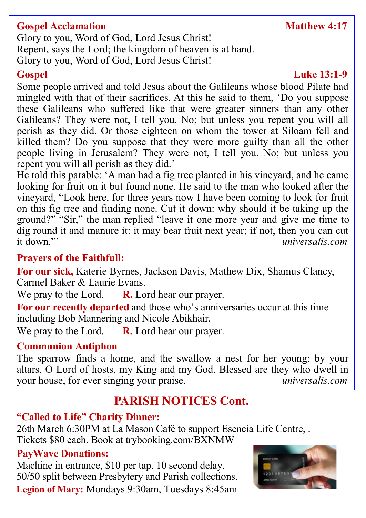# **Gospel Acclamation Matthew 4:17**

Glory to you, Word of God, Lord Jesus Christ! Repent, says the Lord; the kingdom of heaven is at hand. Glory to you, Word of God, Lord Jesus Christ!

# **Gospel Luke 13:1-9**

Some people arrived and told Jesus about the Galileans whose blood Pilate had mingled with that of their sacrifices. At this he said to them, 'Do you suppose these Galileans who suffered like that were greater sinners than any other Galileans? They were not, I tell you. No; but unless you repent you will all perish as they did. Or those eighteen on whom the tower at Siloam fell and killed them? Do you suppose that they were more guilty than all the other people living in Jerusalem? They were not, I tell you. No; but unless you repent you will all perish as they did.'

He told this parable: 'A man had a fig tree planted in his vineyard, and he came looking for fruit on it but found none. He said to the man who looked after the vineyard, "Look here, for three years now I have been coming to look for fruit on this fig tree and finding none. Cut it down: why should it be taking up the ground?" "Sir," the man replied "leave it one more year and give me time to dig round it and manure it: it may bear fruit next year; if not, then you can cut<br>it down."<br>*universalis com* it down."' *universalis.com*

# **Prayers of the Faithfull:**

**For our sick,** Katerie Byrnes, Jackson Davis, Mathew Dix, Shamus Clancy, Carmel Baker & Laurie Evans.

We pray to the Lord. **R.** Lord hear our prayer.

**For our recently departed** and those who's anniversaries occur at this time including Bob Mannering and Nicole Abikhair.

We pray to the Lord. **R.** Lord hear our prayer.

## **Communion Antiphon**

The sparrow finds a home, and the swallow a nest for her young: by your altars, O Lord of hosts, my King and my God. Blessed are they who dwell in your house, for ever singing your praise. *universalis.com*

# **PARISH NOTICES Cont.**

# **"Called to Life" Charity Dinner:**

26th March 6:30PM at La Mason Café to support Esencia Life Centre, . Tickets \$80 each. Book at trybooking.com/BXNMW

## **PayWave Donations:**

Machine in entrance, \$10 per tap. 10 second delay. 50/50 split between Presbytery and Parish collections. **Legion of Mary:** Mondays 9:30am, Tuesdays 8:45am